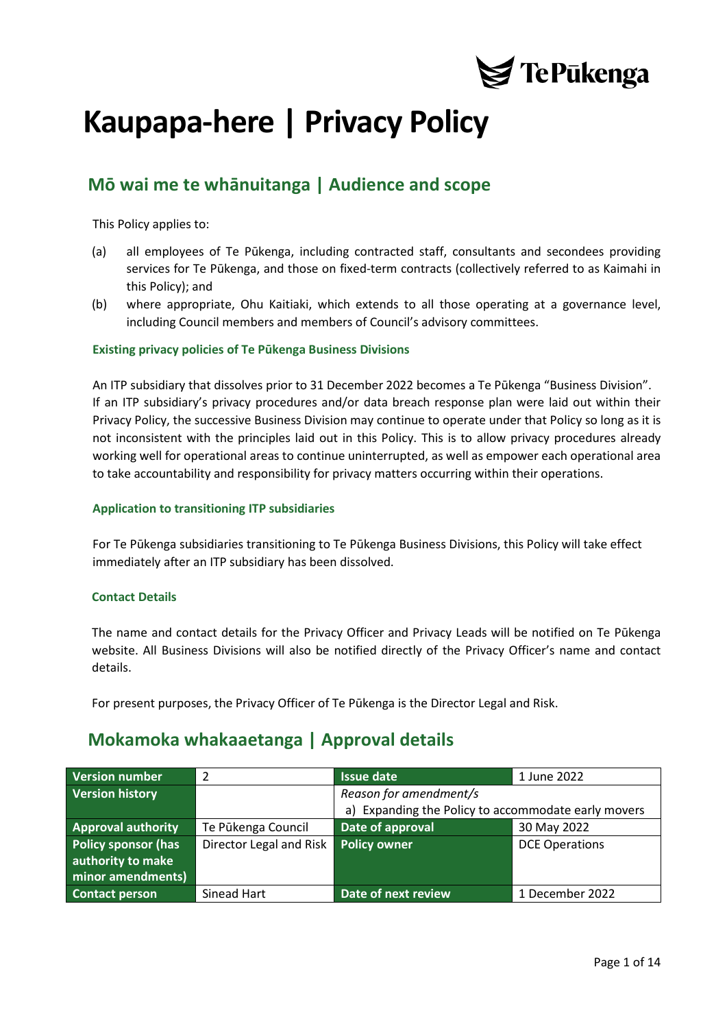

# **Kaupapa-here | Privacy Policy**

# **Mō wai me te whānuitanga | Audience and scope**

This Policy applies to:

- (a) all employees of Te Pūkenga, including contracted staff, consultants and secondees providing services for Te Pūkenga, and those on fixed-term contracts (collectively referred to as Kaimahi in this Policy); and
- (b) where appropriate, Ohu Kaitiaki, which extends to all those operating at a governance level, including Council members and members of Council's advisory committees.

#### **Existing privacy policies of Te Pūkenga Business Divisions**

An ITP subsidiary that dissolves prior to 31 December 2022 becomes a Te Pūkenga "Business Division". If an ITP subsidiary's privacy procedures and/or data breach response plan were laid out within their Privacy Policy, the successive Business Division may continue to operate under that Policy so long as it is not inconsistent with the principles laid out in this Policy. This is to allow privacy procedures already working well for operational areas to continue uninterrupted, as well as empower each operational area to take accountability and responsibility for privacy matters occurring within their operations.

#### **Application to transitioning ITP subsidiaries**

For Te Pūkenga subsidiaries transitioning to Te Pūkenga Business Divisions, this Policy will take effect immediately after an ITP subsidiary has been dissolved.

#### **Contact Details**

The name and contact details for the Privacy Officer and Privacy Leads will be notified on Te Pūkenga website. All Business Divisions will also be notified directly of the Privacy Officer's name and contact details.

For present purposes, the Privacy Officer of Te Pūkenga is the Director Legal and Risk.

## **Mokamoka whakaaetanga | Approval details**

| <b>Version number</b>      | 2                       | <b>Issue date</b>                                   | 1 June 2022           |
|----------------------------|-------------------------|-----------------------------------------------------|-----------------------|
| <b>Version history</b>     |                         | Reason for amendment/s                              |                       |
|                            |                         | a) Expanding the Policy to accommodate early movers |                       |
| <b>Approval authority</b>  | Te Pūkenga Council      | Date of approval                                    | 30 May 2022           |
| <b>Policy sponsor (has</b> | Director Legal and Risk | <b>Policy owner</b>                                 | <b>DCE Operations</b> |
| authority to make          |                         |                                                     |                       |
| minor amendments)          |                         |                                                     |                       |
| <b>Contact person</b>      | Sinead Hart             | Date of next review                                 | 1 December 2022       |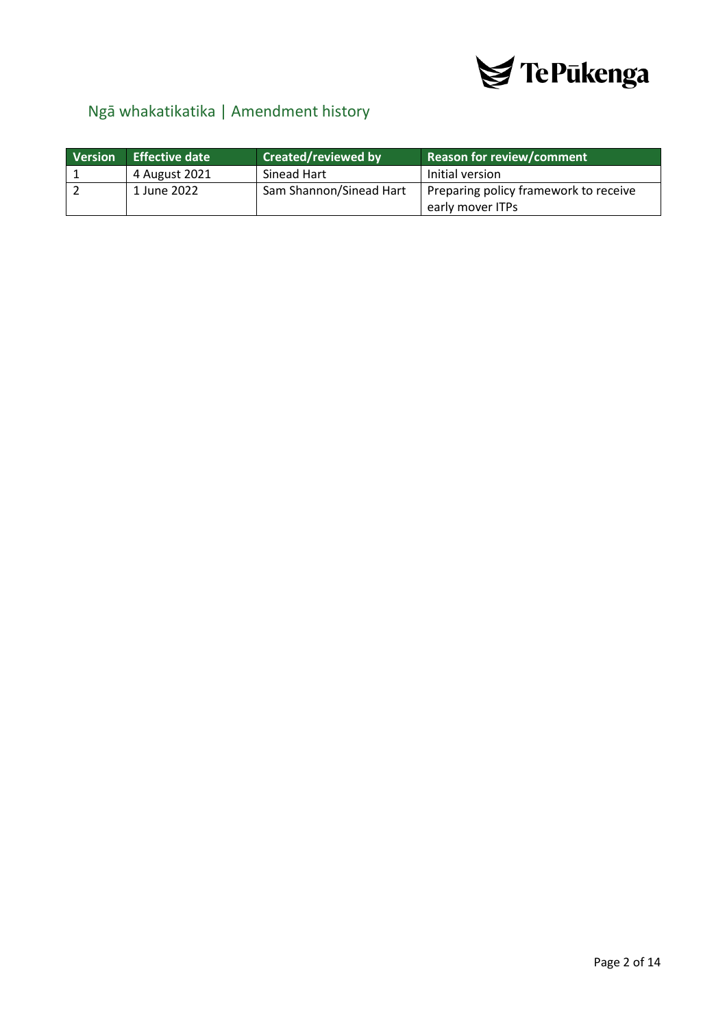

# <span id="page-1-0"></span>Ngā whakatikatika | Amendment history

| Version | <b>Effective date</b> | <b>Created/reviewed by</b> | <b>Reason for review/comment</b>      |
|---------|-----------------------|----------------------------|---------------------------------------|
|         | 4 August 2021         | Sinead Hart                | Initial version                       |
|         | 1 June 2022           | Sam Shannon/Sinead Hart    | Preparing policy framework to receive |
|         |                       |                            | early mover ITPs                      |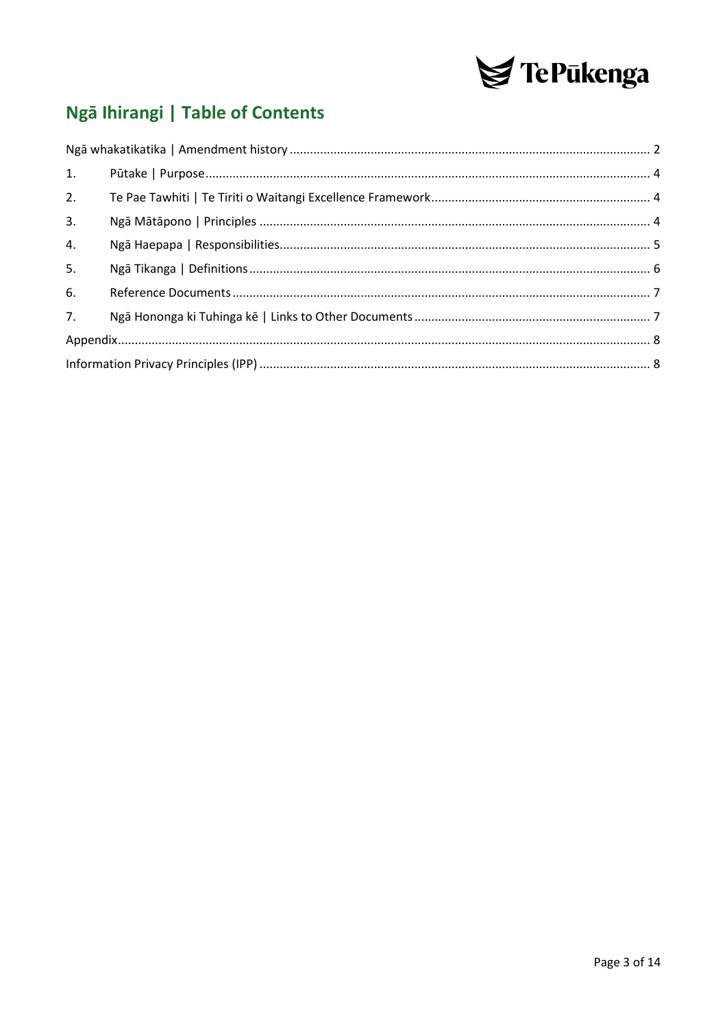

# Ngā Ihirangi | Table of Contents

| 2. |  |  |
|----|--|--|
| 3. |  |  |
| 4. |  |  |
| 5. |  |  |
| 6. |  |  |
| 7. |  |  |
|    |  |  |
|    |  |  |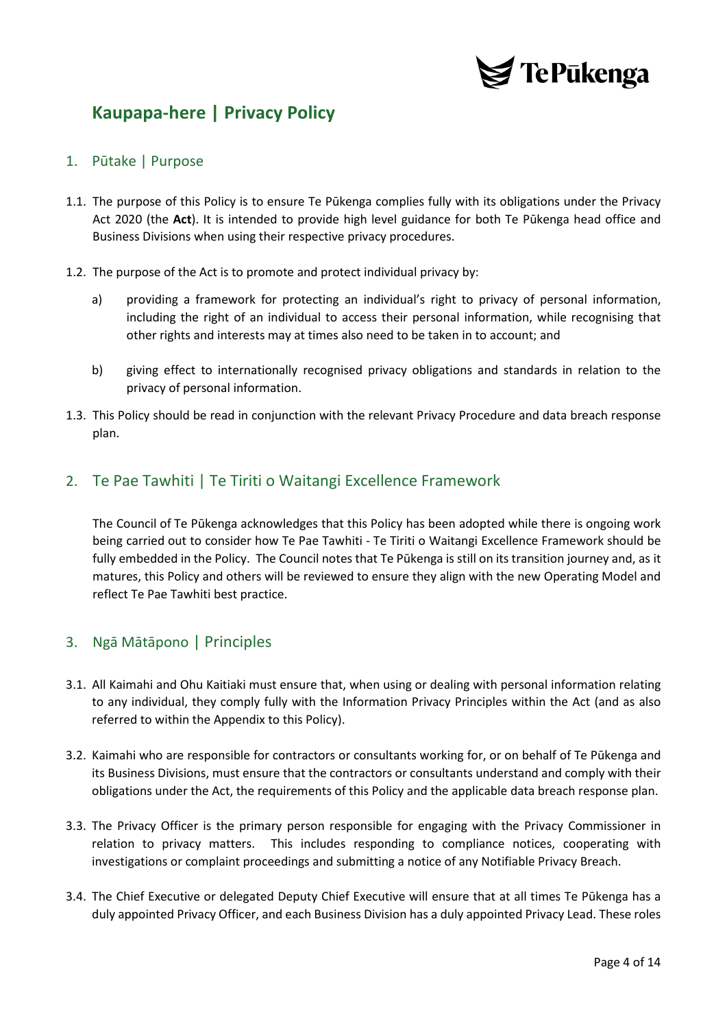

# **Kaupapa-here | Privacy Policy**

### <span id="page-3-0"></span>1. Pūtake | Purpose

- 1.1. The purpose of this Policy is to ensure Te Pūkenga complies fully with its obligations under the Privacy Act 2020 (the **Act**). It is intended to provide high level guidance for both Te Pūkenga head office and Business Divisions when using their respective privacy procedures.
- 1.2. The purpose of the Act is to promote and protect individual privacy by:
	- a) providing a framework for protecting an individual's right to privacy of personal information, including the right of an individual to access their personal information, while recognising that other rights and interests may at times also need to be taken in to account; and
	- b) giving effect to internationally recognised privacy obligations and standards in relation to the privacy of personal information.
- 1.3. This Policy should be read in conjunction with the relevant Privacy Procedure and data breach response plan.

### <span id="page-3-1"></span>2. Te Pae Tawhiti | Te Tiriti o Waitangi Excellence Framework

The Council of Te Pūkenga acknowledges that this Policy has been adopted while there is ongoing work being carried out to consider how Te Pae Tawhiti - Te Tiriti o Waitangi Excellence Framework should be fully embedded in the Policy. The Council notes that Te Pūkenga is still on its transition journey and, as it matures, this Policy and others will be reviewed to ensure they align with the new Operating Model and reflect Te Pae Tawhiti best practice.

### <span id="page-3-2"></span>3. Ngā Mātāpono | Principles

- 3.1. All Kaimahi and Ohu Kaitiaki must ensure that, when using or dealing with personal information relating to any individual, they comply fully with the Information Privacy Principles within the Act (and as also referred to within the Appendix to this Policy).
- 3.2. Kaimahi who are responsible for contractors or consultants working for, or on behalf of Te Pūkenga and its Business Divisions, must ensure that the contractors or consultants understand and comply with their obligations under the Act, the requirements of this Policy and the applicable data breach response plan.
- 3.3. The Privacy Officer is the primary person responsible for engaging with the Privacy Commissioner in relation to privacy matters. This includes responding to compliance notices, cooperating with investigations or complaint proceedings and submitting a notice of any Notifiable Privacy Breach.
- 3.4. The Chief Executive or delegated Deputy Chief Executive will ensure that at all times Te Pūkenga has a duly appointed Privacy Officer, and each Business Division has a duly appointed Privacy Lead. These roles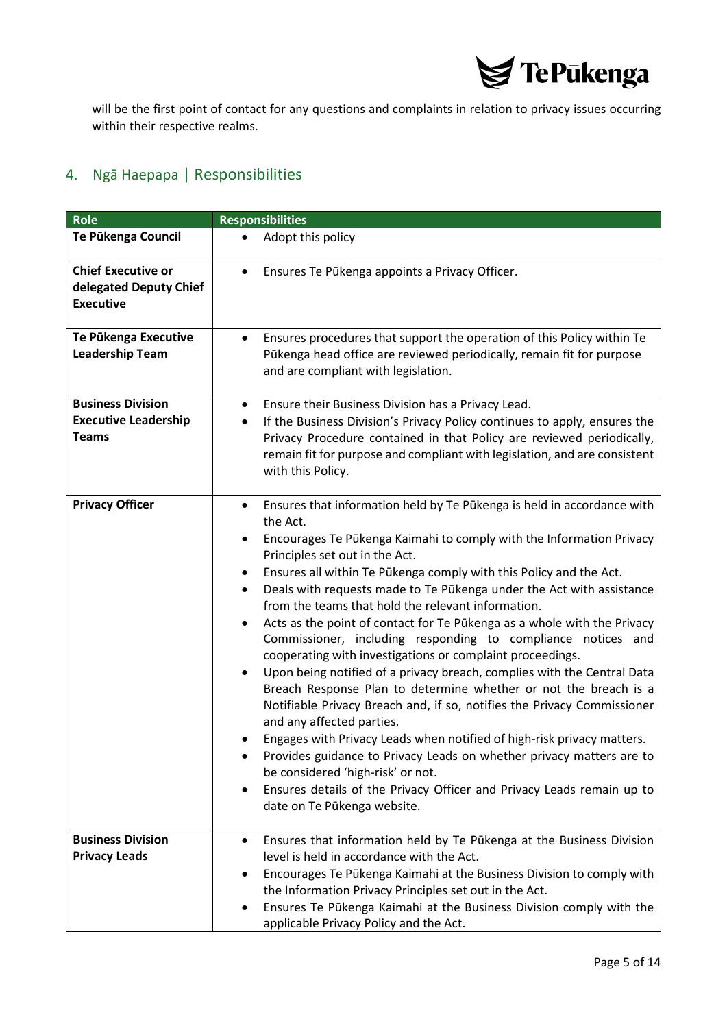

will be the first point of contact for any questions and complaints in relation to privacy issues occurring within their respective realms.

## <span id="page-4-0"></span>4. Ngā Haepapa | Responsibilities

| <b>Role</b>                                                             | <b>Responsibilities</b>                                                                                                                                                                                                                                                                                                                                                                                                                                                                                                                                                                                                                                                                                                                                                                                                                                                                                                                                                                                                                                                                                                                                                                                                                   |
|-------------------------------------------------------------------------|-------------------------------------------------------------------------------------------------------------------------------------------------------------------------------------------------------------------------------------------------------------------------------------------------------------------------------------------------------------------------------------------------------------------------------------------------------------------------------------------------------------------------------------------------------------------------------------------------------------------------------------------------------------------------------------------------------------------------------------------------------------------------------------------------------------------------------------------------------------------------------------------------------------------------------------------------------------------------------------------------------------------------------------------------------------------------------------------------------------------------------------------------------------------------------------------------------------------------------------------|
| Te Pūkenga Council                                                      | Adopt this policy<br>$\bullet$                                                                                                                                                                                                                                                                                                                                                                                                                                                                                                                                                                                                                                                                                                                                                                                                                                                                                                                                                                                                                                                                                                                                                                                                            |
| <b>Chief Executive or</b><br>delegated Deputy Chief<br><b>Executive</b> | Ensures Te Pūkenga appoints a Privacy Officer.<br>$\bullet$                                                                                                                                                                                                                                                                                                                                                                                                                                                                                                                                                                                                                                                                                                                                                                                                                                                                                                                                                                                                                                                                                                                                                                               |
| Te Pūkenga Executive<br><b>Leadership Team</b>                          | Ensures procedures that support the operation of this Policy within Te<br>$\bullet$<br>Pūkenga head office are reviewed periodically, remain fit for purpose<br>and are compliant with legislation.                                                                                                                                                                                                                                                                                                                                                                                                                                                                                                                                                                                                                                                                                                                                                                                                                                                                                                                                                                                                                                       |
| <b>Business Division</b><br><b>Executive Leadership</b><br><b>Teams</b> | Ensure their Business Division has a Privacy Lead.<br>٠<br>If the Business Division's Privacy Policy continues to apply, ensures the<br>٠<br>Privacy Procedure contained in that Policy are reviewed periodically,<br>remain fit for purpose and compliant with legislation, and are consistent<br>with this Policy.                                                                                                                                                                                                                                                                                                                                                                                                                                                                                                                                                                                                                                                                                                                                                                                                                                                                                                                      |
| <b>Privacy Officer</b>                                                  | Ensures that information held by Te Pūkenga is held in accordance with<br>$\bullet$<br>the Act.<br>Encourages Te Pūkenga Kaimahi to comply with the Information Privacy<br>٠<br>Principles set out in the Act.<br>Ensures all within Te Pūkenga comply with this Policy and the Act.<br>٠<br>Deals with requests made to Te Pūkenga under the Act with assistance<br>$\bullet$<br>from the teams that hold the relevant information.<br>Acts as the point of contact for Te Pūkenga as a whole with the Privacy<br>$\bullet$<br>Commissioner, including responding to compliance notices and<br>cooperating with investigations or complaint proceedings.<br>Upon being notified of a privacy breach, complies with the Central Data<br>$\bullet$<br>Breach Response Plan to determine whether or not the breach is a<br>Notifiable Privacy Breach and, if so, notifies the Privacy Commissioner<br>and any affected parties.<br>Engages with Privacy Leads when notified of high-risk privacy matters.<br>Provides guidance to Privacy Leads on whether privacy matters are to<br>be considered 'high-risk' or not.<br>Ensures details of the Privacy Officer and Privacy Leads remain up to<br>$\bullet$<br>date on Te Pūkenga website. |
| <b>Business Division</b><br><b>Privacy Leads</b>                        | Ensures that information held by Te Pūkenga at the Business Division<br>$\bullet$<br>level is held in accordance with the Act.<br>Encourages Te Pūkenga Kaimahi at the Business Division to comply with<br>$\bullet$<br>the Information Privacy Principles set out in the Act.<br>Ensures Te Pūkenga Kaimahi at the Business Division comply with the<br>$\bullet$<br>applicable Privacy Policy and the Act.                                                                                                                                                                                                                                                                                                                                                                                                                                                                                                                                                                                                                                                                                                                                                                                                                              |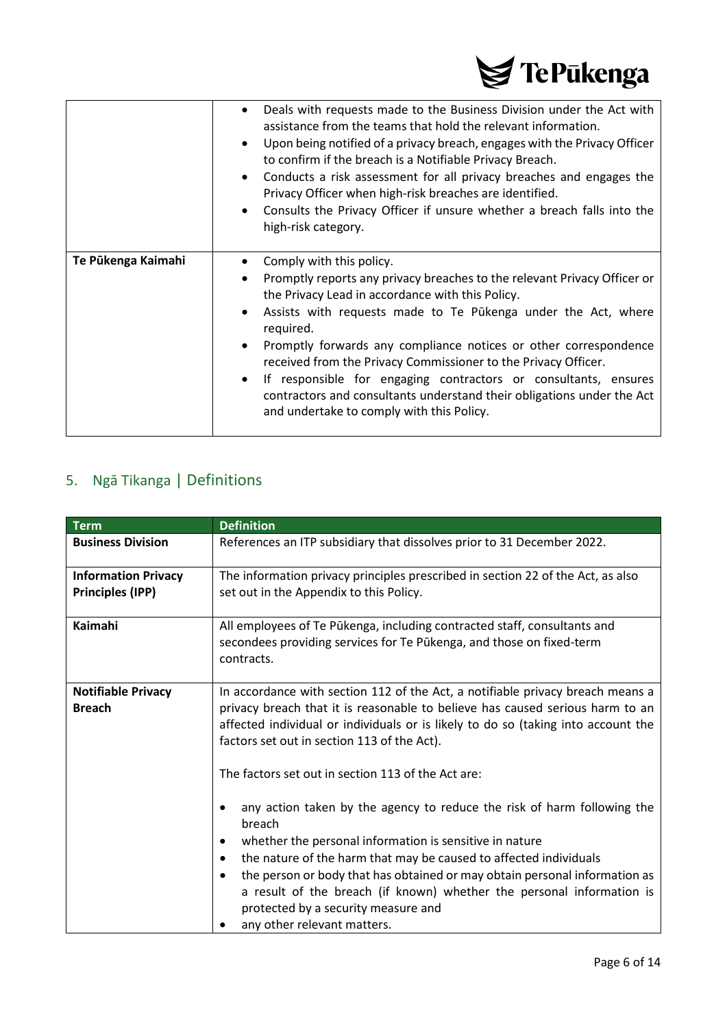

|                    | Deals with requests made to the Business Division under the Act with<br>$\bullet$<br>assistance from the teams that hold the relevant information.<br>Upon being notified of a privacy breach, engages with the Privacy Officer<br>$\bullet$<br>to confirm if the breach is a Notifiable Privacy Breach.<br>Conducts a risk assessment for all privacy breaches and engages the<br>$\bullet$<br>Privacy Officer when high-risk breaches are identified.<br>Consults the Privacy Officer if unsure whether a breach falls into the<br>$\bullet$<br>high-risk category.                                                           |
|--------------------|---------------------------------------------------------------------------------------------------------------------------------------------------------------------------------------------------------------------------------------------------------------------------------------------------------------------------------------------------------------------------------------------------------------------------------------------------------------------------------------------------------------------------------------------------------------------------------------------------------------------------------|
| Te Pūkenga Kaimahi | Comply with this policy.<br>٠<br>Promptly reports any privacy breaches to the relevant Privacy Officer or<br>$\bullet$<br>the Privacy Lead in accordance with this Policy.<br>Assists with requests made to Te Pūkenga under the Act, where<br>$\bullet$<br>required.<br>Promptly forwards any compliance notices or other correspondence<br>$\bullet$<br>received from the Privacy Commissioner to the Privacy Officer.<br>If responsible for engaging contractors or consultants, ensures<br>$\bullet$<br>contractors and consultants understand their obligations under the Act<br>and undertake to comply with this Policy. |

# <span id="page-5-0"></span>5. Ngā Tikanga | Definitions

| <b>Term</b>                                           | <b>Definition</b>                                                                                                                                                                                                                                                                                                                                                                                                                                                                                                                                                                                                                                                                                                                                                                         |  |
|-------------------------------------------------------|-------------------------------------------------------------------------------------------------------------------------------------------------------------------------------------------------------------------------------------------------------------------------------------------------------------------------------------------------------------------------------------------------------------------------------------------------------------------------------------------------------------------------------------------------------------------------------------------------------------------------------------------------------------------------------------------------------------------------------------------------------------------------------------------|--|
| <b>Business Division</b>                              | References an ITP subsidiary that dissolves prior to 31 December 2022.                                                                                                                                                                                                                                                                                                                                                                                                                                                                                                                                                                                                                                                                                                                    |  |
| <b>Information Privacy</b><br><b>Principles (IPP)</b> | The information privacy principles prescribed in section 22 of the Act, as also<br>set out in the Appendix to this Policy.                                                                                                                                                                                                                                                                                                                                                                                                                                                                                                                                                                                                                                                                |  |
| Kaimahi                                               | All employees of Te Pūkenga, including contracted staff, consultants and<br>secondees providing services for Te Pūkenga, and those on fixed-term<br>contracts.                                                                                                                                                                                                                                                                                                                                                                                                                                                                                                                                                                                                                            |  |
| <b>Notifiable Privacy</b><br><b>Breach</b>            | In accordance with section 112 of the Act, a notifiable privacy breach means a<br>privacy breach that it is reasonable to believe has caused serious harm to an<br>affected individual or individuals or is likely to do so (taking into account the<br>factors set out in section 113 of the Act).<br>The factors set out in section 113 of the Act are:<br>any action taken by the agency to reduce the risk of harm following the<br>breach<br>whether the personal information is sensitive in nature<br>the nature of the harm that may be caused to affected individuals<br>$\bullet$<br>the person or body that has obtained or may obtain personal information as<br>a result of the breach (if known) whether the personal information is<br>protected by a security measure and |  |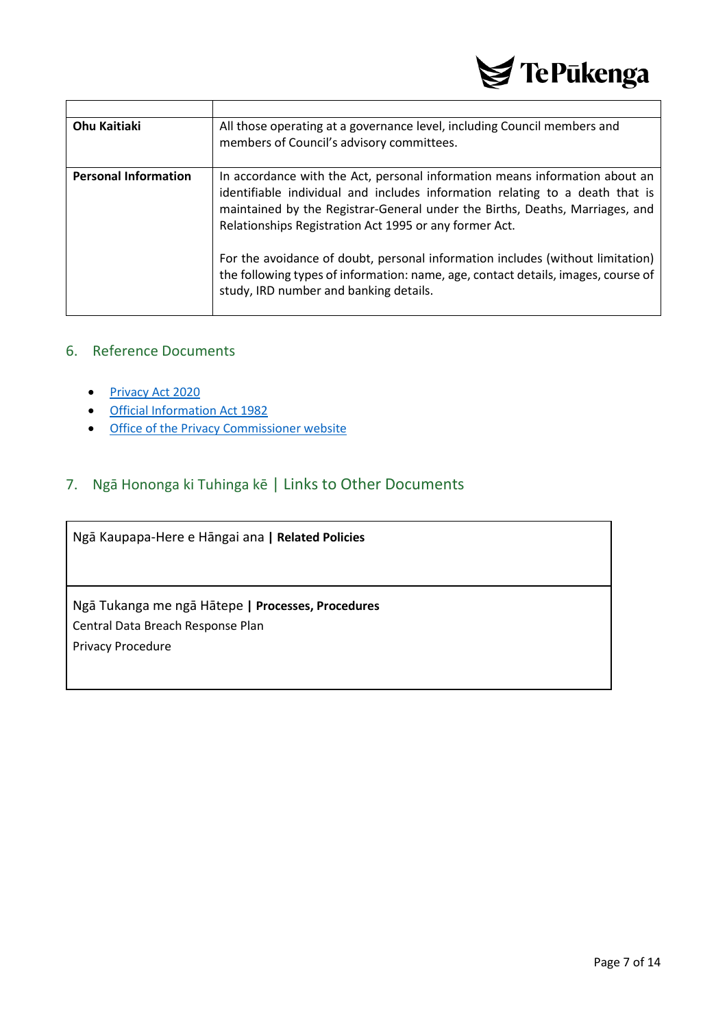

| <b>Ohu Kaitiaki</b>         | All those operating at a governance level, including Council members and<br>members of Council's advisory committees.                                                                                                                                                                                 |
|-----------------------------|-------------------------------------------------------------------------------------------------------------------------------------------------------------------------------------------------------------------------------------------------------------------------------------------------------|
| <b>Personal Information</b> | In accordance with the Act, personal information means information about an<br>identifiable individual and includes information relating to a death that is<br>maintained by the Registrar-General under the Births, Deaths, Marriages, and<br>Relationships Registration Act 1995 or any former Act. |
|                             | For the avoidance of doubt, personal information includes (without limitation)<br>the following types of information: name, age, contact details, images, course of<br>study, IRD number and banking details.                                                                                         |

### <span id="page-6-0"></span>6. Reference Documents

- [Privacy Act 2020](https://www.legislation.govt.nz/act/public/2020/0031/latest/LMS23223.html)
- [Official Information Act 1982](https://www.legislation.govt.nz/act/public/1982/0156/latest/DLM64785.html)
- [Office of the Privacy Commissioner website](https://www.privacy.org.nz/)

### <span id="page-6-1"></span>7. Ngā Hononga ki Tuhinga kē | Links to Other Documents

Ngā Kaupapa-Here e Hāngai ana **| Related Policies**

Ngā Tukanga me ngā Hātepe **| Processes, Procedures** Central Data Breach Response Plan Privacy Procedure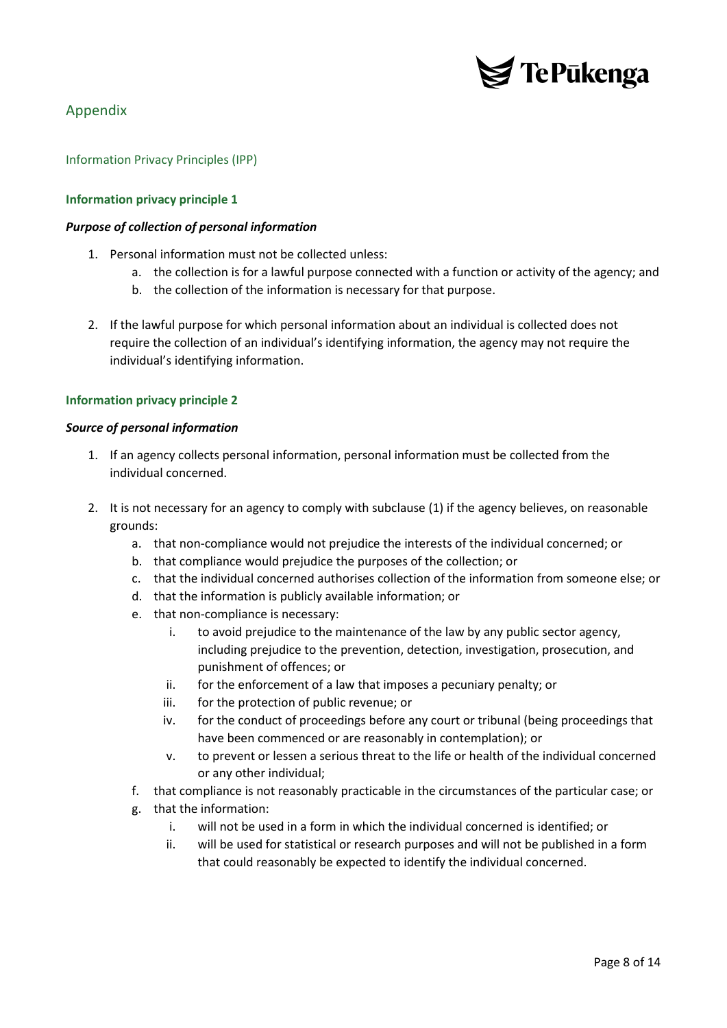

### <span id="page-7-0"></span>Appendix

<span id="page-7-1"></span>Information Privacy Principles (IPP)

#### **Information privacy principle 1**

#### *Purpose of collection of personal information*

- 1. Personal information must not be collected unless:
	- a. the collection is for a lawful purpose connected with a function or activity of the agency; and
	- b. the collection of the information is necessary for that purpose.
- 2. If the lawful purpose for which personal information about an individual is collected does not require the collection of an individual's identifying information, the agency may not require the individual's identifying information.

#### **Information privacy principle 2**

#### *Source of personal information*

- 1. If an agency collects personal information, personal information must be collected from the individual concerned.
- 2. It is not necessary for an agency to comply with subclause (1) if the agency believes, on reasonable grounds:
	- a. that non-compliance would not prejudice the interests of the individual concerned; or
	- b. that compliance would prejudice the purposes of the collection; or
	- c. that the individual concerned authorises collection of the information from someone else; or
	- d. that the information is publicly available information; or
	- e. that non-compliance is necessary:
		- i. to avoid prejudice to the maintenance of the law by any public sector agency, including prejudice to the prevention, detection, investigation, prosecution, and punishment of offences; or
		- ii. for the enforcement of a law that imposes a pecuniary penalty; or
		- iii. for the protection of public revenue; or
		- iv. for the conduct of proceedings before any court or tribunal (being proceedings that have been commenced or are reasonably in contemplation); or
		- v. to prevent or lessen a serious threat to the life or health of the individual concerned or any other individual;
	- f. that compliance is not reasonably practicable in the circumstances of the particular case; or
	- g. that the information:
		- i. will not be used in a form in which the individual concerned is identified; or
		- ii. will be used for statistical or research purposes and will not be published in a form that could reasonably be expected to identify the individual concerned.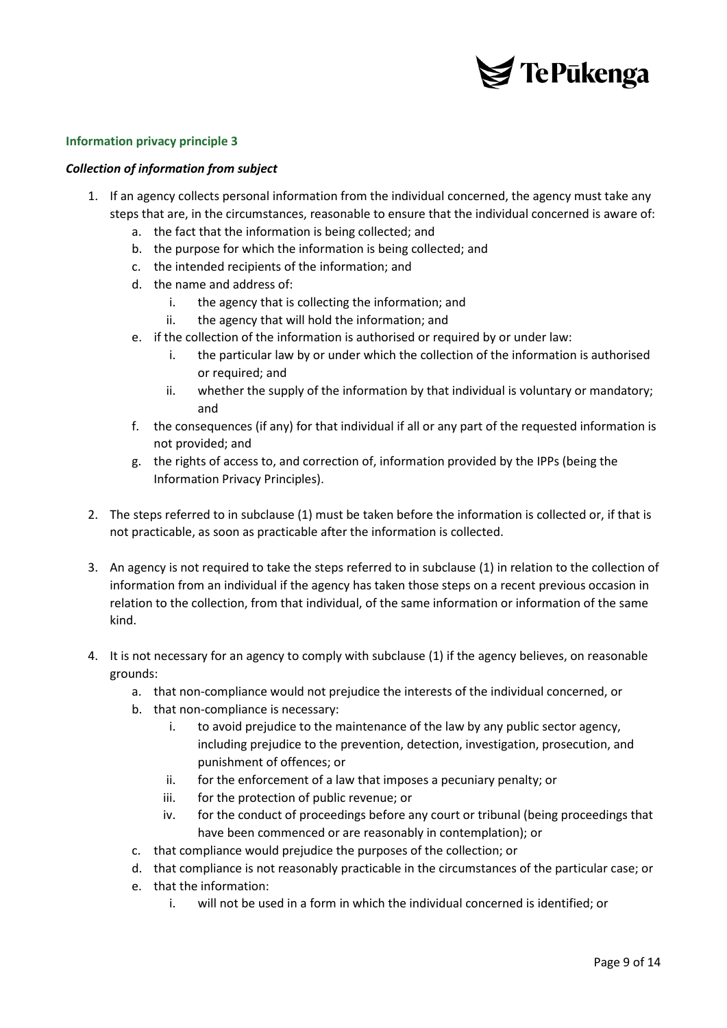

#### *Collection of information from subject*

- 1. If an agency collects personal information from the individual concerned, the agency must take any steps that are, in the circumstances, reasonable to ensure that the individual concerned is aware of:
	- a. the fact that the information is being collected; and
	- b. the purpose for which the information is being collected; and
	- c. the intended recipients of the information; and
	- d. the name and address of:
		- i. the agency that is collecting the information; and
		- ii. the agency that will hold the information; and
	- e. if the collection of the information is authorised or required by or under law:
		- i. the particular law by or under which the collection of the information is authorised or required; and
		- ii. whether the supply of the information by that individual is voluntary or mandatory; and
	- f. the consequences (if any) for that individual if all or any part of the requested information is not provided; and
	- g. the rights of access to, and correction of, information provided by the IPPs (being the Information Privacy Principles).
- 2. The steps referred to in subclause (1) must be taken before the information is collected or, if that is not practicable, as soon as practicable after the information is collected.
- 3. An agency is not required to take the steps referred to in subclause (1) in relation to the collection of information from an individual if the agency has taken those steps on a recent previous occasion in relation to the collection, from that individual, of the same information or information of the same kind.
- 4. It is not necessary for an agency to comply with subclause (1) if the agency believes, on reasonable grounds:
	- a. that non-compliance would not prejudice the interests of the individual concerned, or
	- b. that non-compliance is necessary:
		- i. to avoid prejudice to the maintenance of the law by any public sector agency, including prejudice to the prevention, detection, investigation, prosecution, and punishment of offences; or
		- ii. for the enforcement of a law that imposes a pecuniary penalty; or
		- iii. for the protection of public revenue; or
		- iv. for the conduct of proceedings before any court or tribunal (being proceedings that have been commenced or are reasonably in contemplation); or
	- c. that compliance would prejudice the purposes of the collection; or
	- d. that compliance is not reasonably practicable in the circumstances of the particular case; or
	- e. that the information:
		- i. will not be used in a form in which the individual concerned is identified; or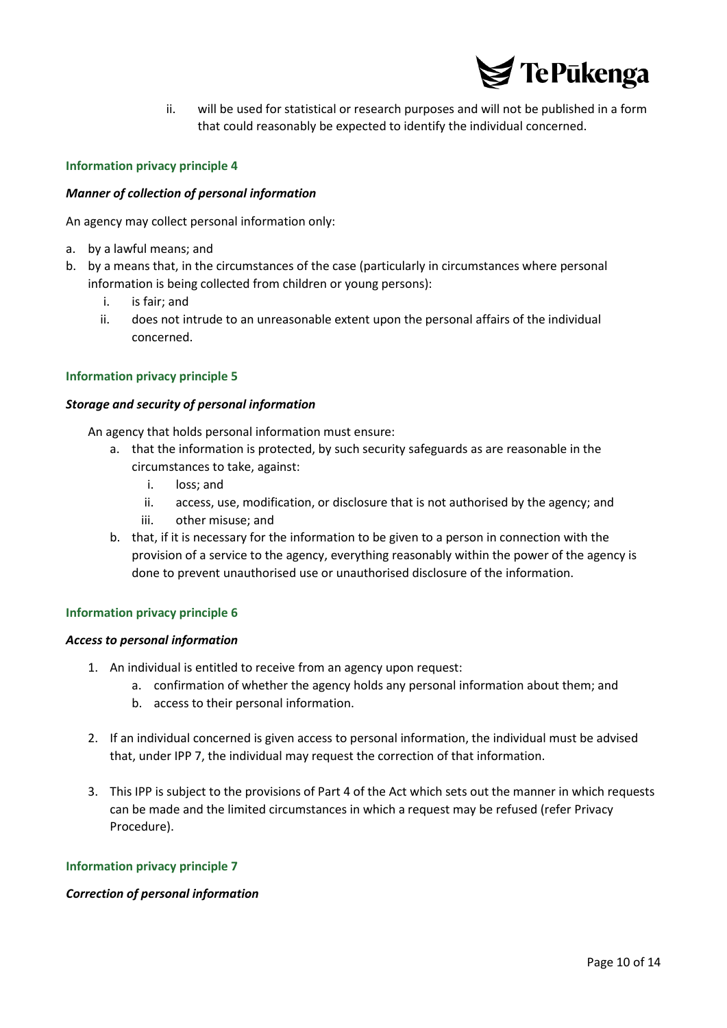

ii. will be used for statistical or research purposes and will not be published in a form that could reasonably be expected to identify the individual concerned.

#### **Information privacy principle 4**

#### *Manner of collection of personal information*

An agency may collect personal information only:

- a. by a lawful means; and
- b. by a means that, in the circumstances of the case (particularly in circumstances where personal information is being collected from children or young persons):
	- i. is fair; and
	- ii. does not intrude to an unreasonable extent upon the personal affairs of the individual concerned.

#### **Information privacy principle 5**

#### *Storage and security of personal information*

An agency that holds personal information must ensure:

- a. that the information is protected, by such security safeguards as are reasonable in the circumstances to take, against:
	- i. loss; and
	- ii. access, use, modification, or disclosure that is not authorised by the agency; and
	- iii. other misuse; and
- b. that, if it is necessary for the information to be given to a person in connection with the provision of a service to the agency, everything reasonably within the power of the agency is done to prevent unauthorised use or unauthorised disclosure of the information.

#### **Information privacy principle 6**

#### *Access to personal information*

- 1. An individual is entitled to receive from an agency upon request:
	- a. confirmation of whether the agency holds any personal information about them; and
	- b. access to their personal information.
- 2. If an individual concerned is given access to personal information, the individual must be advised that, under IPP 7, the individual may request the correction of that information.
- 3. This IPP is subject to the provisions of Part 4 of the Act which sets out the manner in which requests can be made and the limited circumstances in which a request may be refused (refer Privacy Procedure).

#### **Information privacy principle 7**

#### *Correction of personal information*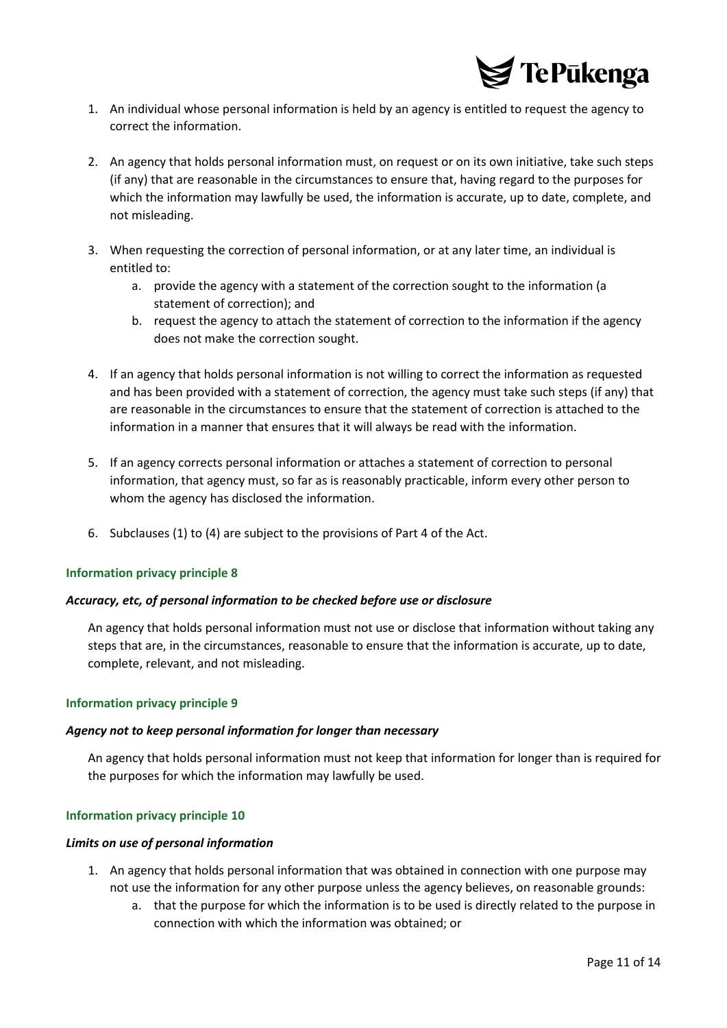

- 1. An individual whose personal information is held by an agency is entitled to request the agency to correct the information.
- 2. An agency that holds personal information must, on request or on its own initiative, take such steps (if any) that are reasonable in the circumstances to ensure that, having regard to the purposes for which the information may lawfully be used, the information is accurate, up to date, complete, and not misleading.
- 3. When requesting the correction of personal information, or at any later time, an individual is entitled to:
	- a. provide the agency with a statement of the correction sought to the information (a statement of correction); and
	- b. request the agency to attach the statement of correction to the information if the agency does not make the correction sought.
- 4. If an agency that holds personal information is not willing to correct the information as requested and has been provided with a statement of correction, the agency must take such steps (if any) that are reasonable in the circumstances to ensure that the statement of correction is attached to the information in a manner that ensures that it will always be read with the information.
- 5. If an agency corrects personal information or attaches a statement of correction to personal information, that agency must, so far as is reasonably practicable, inform every other person to whom the agency has disclosed the information.
- 6. Subclauses (1) to (4) are subject to the provisions of Part 4 of the Act.

#### *Accuracy, etc, of personal information to be checked before use or disclosure*

An agency that holds personal information must not use or disclose that information without taking any steps that are, in the circumstances, reasonable to ensure that the information is accurate, up to date, complete, relevant, and not misleading.

#### **Information privacy principle 9**

#### *Agency not to keep personal information for longer than necessary*

An agency that holds personal information must not keep that information for longer than is required for the purposes for which the information may lawfully be used.

#### **Information privacy principle 10**

#### *Limits on use of personal information*

- 1. An agency that holds personal information that was obtained in connection with one purpose may not use the information for any other purpose unless the agency believes, on reasonable grounds:
	- a. that the purpose for which the information is to be used is directly related to the purpose in connection with which the information was obtained; or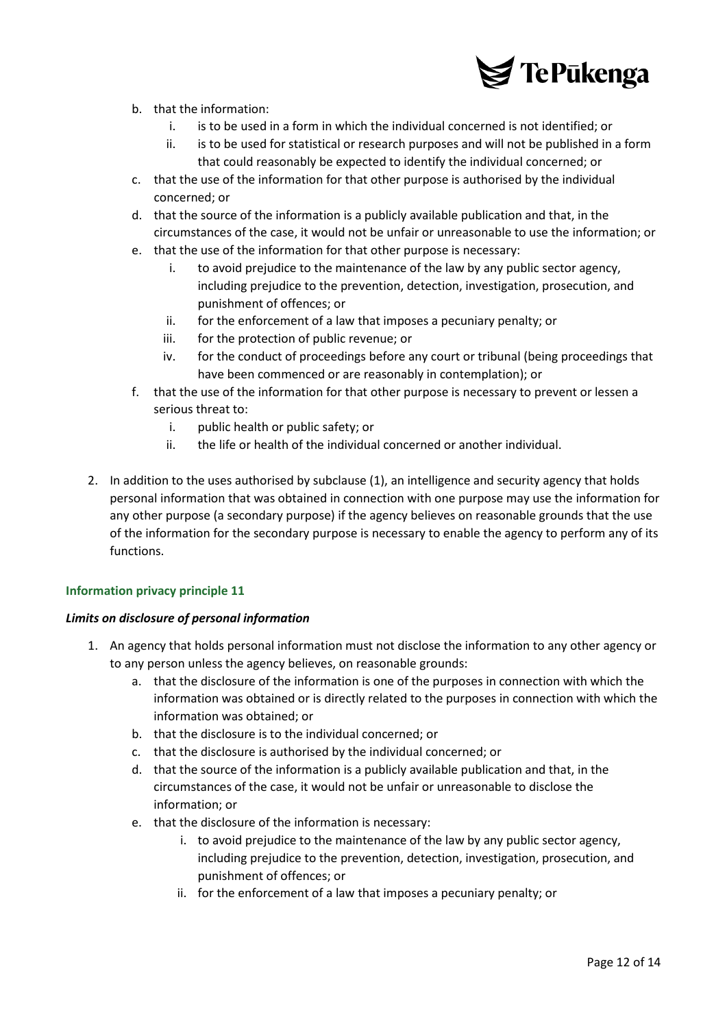

- b. that the information:
	- i. is to be used in a form in which the individual concerned is not identified; or
	- ii. is to be used for statistical or research purposes and will not be published in a form that could reasonably be expected to identify the individual concerned; or
- c. that the use of the information for that other purpose is authorised by the individual concerned; or
- d. that the source of the information is a publicly available publication and that, in the circumstances of the case, it would not be unfair or unreasonable to use the information; or
- e. that the use of the information for that other purpose is necessary:
	- i. to avoid prejudice to the maintenance of the law by any public sector agency, including prejudice to the prevention, detection, investigation, prosecution, and punishment of offences; or
	- ii. for the enforcement of a law that imposes a pecuniary penalty; or
	- iii. for the protection of public revenue; or
	- iv. for the conduct of proceedings before any court or tribunal (being proceedings that have been commenced or are reasonably in contemplation); or
- f. that the use of the information for that other purpose is necessary to prevent or lessen a serious threat to:
	- i. public health or public safety; or
	- ii. the life or health of the individual concerned or another individual.
- 2. In addition to the uses authorised by subclause (1), an intelligence and security agency that holds personal information that was obtained in connection with one purpose may use the information for any other purpose (a secondary purpose) if the agency believes on reasonable grounds that the use of the information for the secondary purpose is necessary to enable the agency to perform any of its functions.

#### *Limits on disclosure of personal information*

- 1. An agency that holds personal information must not disclose the information to any other agency or to any person unless the agency believes, on reasonable grounds:
	- a. that the disclosure of the information is one of the purposes in connection with which the information was obtained or is directly related to the purposes in connection with which the information was obtained; or
	- b. that the disclosure is to the individual concerned; or
	- c. that the disclosure is authorised by the individual concerned; or
	- d. that the source of the information is a publicly available publication and that, in the circumstances of the case, it would not be unfair or unreasonable to disclose the information; or
	- e. that the disclosure of the information is necessary:
		- i. to avoid prejudice to the maintenance of the law by any public sector agency, including prejudice to the prevention, detection, investigation, prosecution, and punishment of offences; or
		- ii. for the enforcement of a law that imposes a pecuniary penalty; or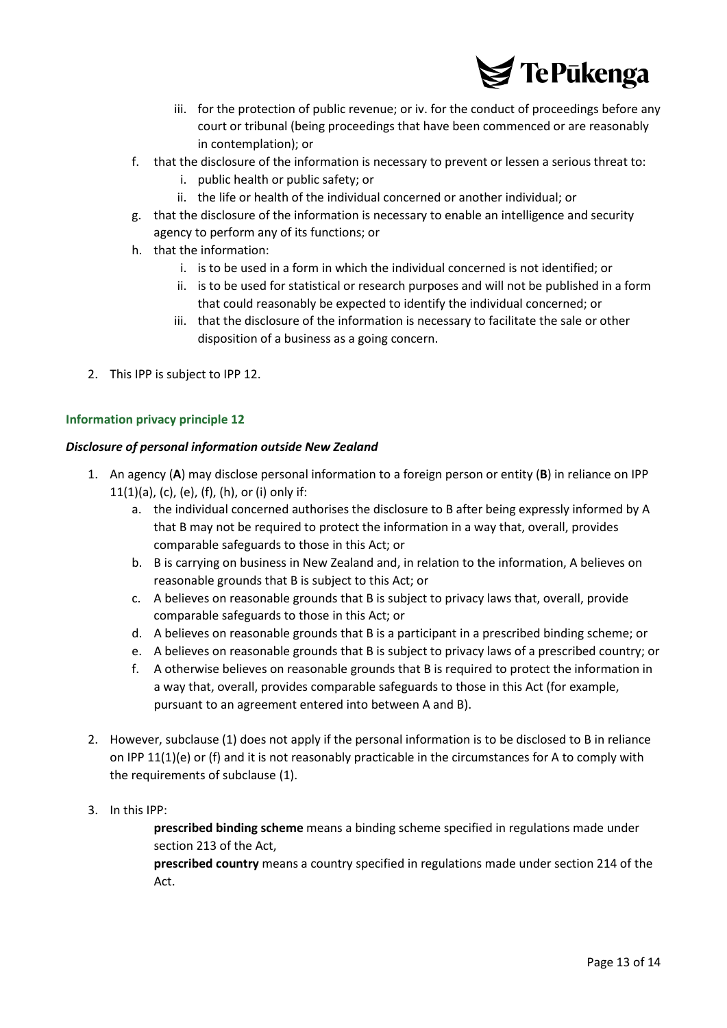

- iii. for the protection of public revenue; or iv. for the conduct of proceedings before any court or tribunal (being proceedings that have been commenced or are reasonably in contemplation); or
- f. that the disclosure of the information is necessary to prevent or lessen a serious threat to:
	- i. public health or public safety; or
	- ii. the life or health of the individual concerned or another individual; or
- g. that the disclosure of the information is necessary to enable an intelligence and security agency to perform any of its functions; or
- h. that the information:
	- i. is to be used in a form in which the individual concerned is not identified; or
	- ii. is to be used for statistical or research purposes and will not be published in a form that could reasonably be expected to identify the individual concerned; or
	- iii. that the disclosure of the information is necessary to facilitate the sale or other disposition of a business as a going concern.
- 2. This IPP is subject to IPP 12.

#### *Disclosure of personal information outside New Zealand*

- 1. An agency (**A**) may disclose personal information to a foreign person or entity (**B**) in reliance on IPP  $11(1)(a)$ , (c), (e), (f), (h), or (i) only if:
	- a. the individual concerned authorises the disclosure to B after being expressly informed by A that B may not be required to protect the information in a way that, overall, provides comparable safeguards to those in this Act; or
	- b. B is carrying on business in New Zealand and, in relation to the information, A believes on reasonable grounds that B is subject to this Act; or
	- c. A believes on reasonable grounds that B is subject to privacy laws that, overall, provide comparable safeguards to those in this Act; or
	- d. A believes on reasonable grounds that B is a participant in a prescribed binding scheme; or
	- e. A believes on reasonable grounds that B is subject to privacy laws of a prescribed country; or
	- f. A otherwise believes on reasonable grounds that B is required to protect the information in a way that, overall, provides comparable safeguards to those in this Act (for example, pursuant to an agreement entered into between A and B).
- 2. However, subclause (1) does not apply if the personal information is to be disclosed to B in reliance on IPP 11(1)(e) or (f) and it is not reasonably practicable in the circumstances for A to comply with the requirements of subclause (1).
- 3. In this IPP:

**prescribed binding scheme** means a binding scheme specified in regulations made under section 213 of the Act,

**prescribed country** means a country specified in regulations made under section 214 of the Act.